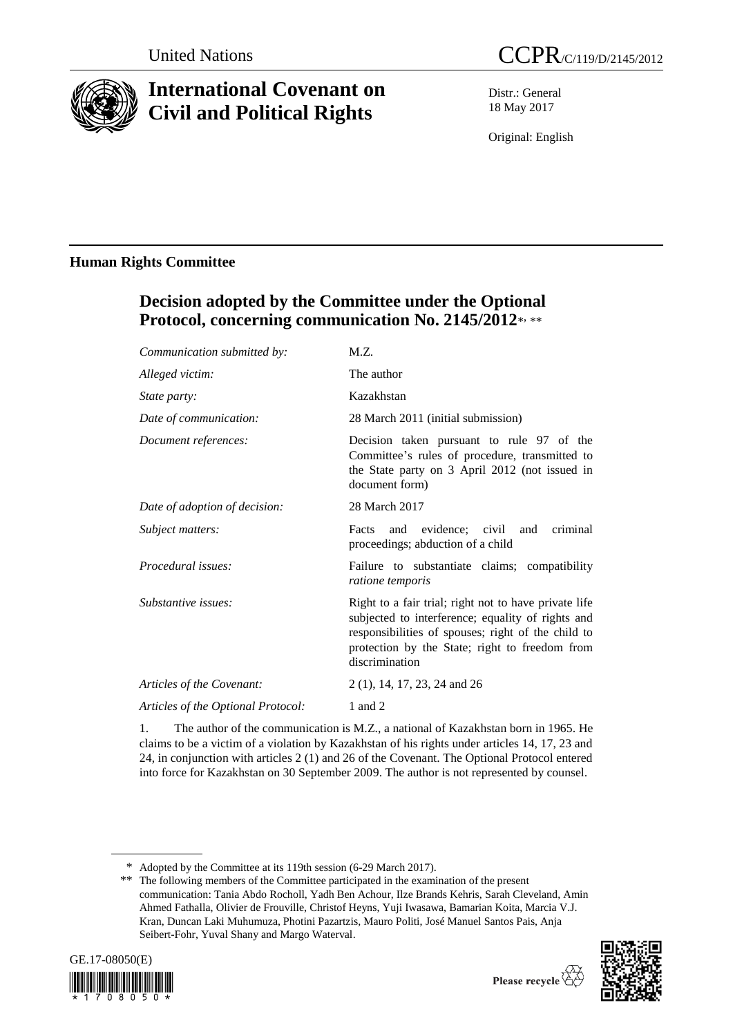

# **International Covenant on Civil and Political Rights**

Distr.: General 18 May 2017

Original: English

# **Human Rights Committee**

# **Decision adopted by the Committee under the Optional**  Protocol, concerning communication No. 2145/2012\*, \*\*

| Communication submitted by:        | M.Z.                                                                                                                                                                                                                                 |
|------------------------------------|--------------------------------------------------------------------------------------------------------------------------------------------------------------------------------------------------------------------------------------|
| Alleged victim:                    | The author                                                                                                                                                                                                                           |
| State party:                       | Kazakhstan                                                                                                                                                                                                                           |
| Date of communication:             | 28 March 2011 (initial submission)                                                                                                                                                                                                   |
| Document references:               | Decision taken pursuant to rule 97 of the<br>Committee's rules of procedure, transmitted to<br>the State party on 3 April 2012 (not issued in<br>document form)                                                                      |
| Date of adoption of decision:      | 28 March 2017                                                                                                                                                                                                                        |
| Subject matters:                   | and evidence; civil and<br>criminal<br>Facts<br>proceedings; abduction of a child                                                                                                                                                    |
| Procedural issues:                 | Failure to substantiate claims; compatibility<br><i>ratione temporis</i>                                                                                                                                                             |
| Substantive issues:                | Right to a fair trial; right not to have private life<br>subjected to interference; equality of rights and<br>responsibilities of spouses; right of the child to<br>protection by the State; right to freedom from<br>discrimination |
| Articles of the Covenant:          | 2(1), 14, 17, 23, 24 and 26                                                                                                                                                                                                          |
| Articles of the Optional Protocol: | 1 and 2                                                                                                                                                                                                                              |
|                                    |                                                                                                                                                                                                                                      |

1. The author of the communication is M.Z., a national of Kazakhstan born in 1965. He claims to be a victim of a violation by Kazakhstan of his rights under articles 14, 17, 23 and 24, in conjunction with articles 2 (1) and 26 of the Covenant. The Optional Protocol entered into force for Kazakhstan on 30 September 2009. The author is not represented by counsel.

<sup>\*\*</sup> The following members of the Committee participated in the examination of the present communication: Tania Abdo Rocholl, Yadh Ben Achour, Ilze Brands Kehris, Sarah Cleveland, Amin Ahmed Fathalla, Olivier de Frouville, Christof Heyns, Yuji Iwasawa, Bamarian Koita, Marcia V.J. Kran, Duncan Laki Muhumuza, Photini Pazartzis, Mauro Politi, José Manuel Santos Pais, Anja Seibert-Fohr, Yuval Shany and Margo Waterval.







<sup>\*</sup> Adopted by the Committee at its 119th session (6-29 March 2017).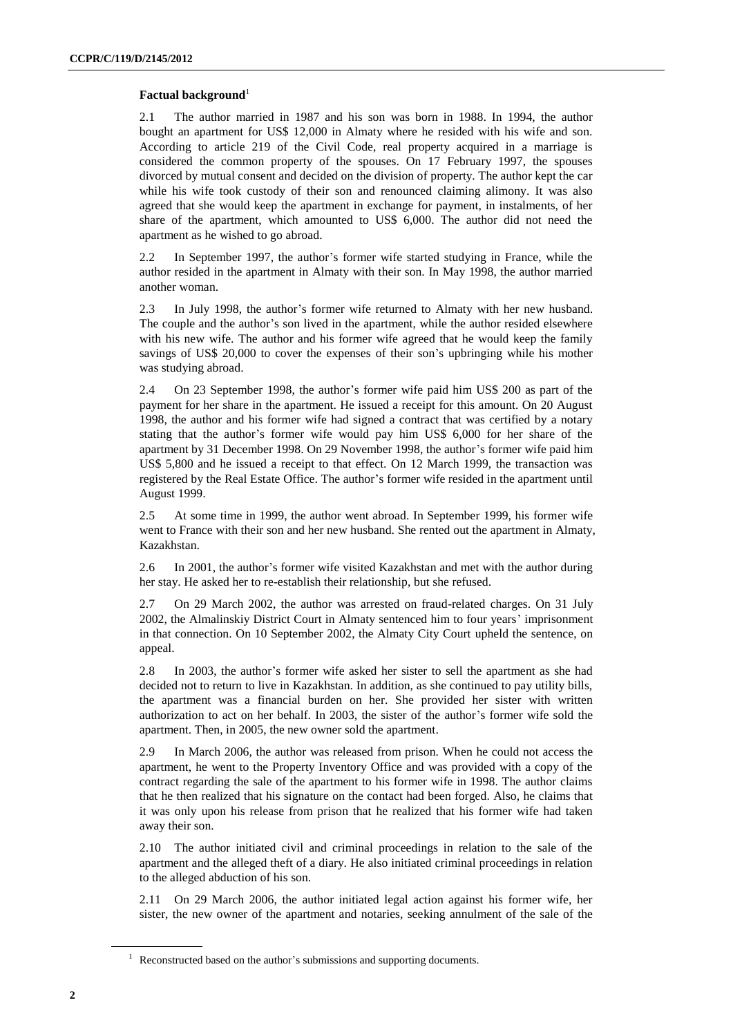# **Factual background**<sup>1</sup>

2.1 The author married in 1987 and his son was born in 1988. In 1994, the author bought an apartment for US\$ 12,000 in Almaty where he resided with his wife and son. According to article 219 of the Civil Code, real property acquired in a marriage is considered the common property of the spouses. On 17 February 1997, the spouses divorced by mutual consent and decided on the division of property. The author kept the car while his wife took custody of their son and renounced claiming alimony. It was also agreed that she would keep the apartment in exchange for payment, in instalments, of her share of the apartment, which amounted to US\$ 6,000. The author did not need the apartment as he wished to go abroad.

2.2 In September 1997, the author's former wife started studying in France, while the author resided in the apartment in Almaty with their son. In May 1998, the author married another woman.

2.3 In July 1998, the author's former wife returned to Almaty with her new husband. The couple and the author's son lived in the apartment, while the author resided elsewhere with his new wife. The author and his former wife agreed that he would keep the family savings of US\$ 20,000 to cover the expenses of their son's upbringing while his mother was studying abroad.

2.4 On 23 September 1998, the author's former wife paid him US\$ 200 as part of the payment for her share in the apartment. He issued a receipt for this amount. On 20 August 1998, the author and his former wife had signed a contract that was certified by a notary stating that the author's former wife would pay him US\$ 6,000 for her share of the apartment by 31 December 1998. On 29 November 1998, the author's former wife paid him US\$ 5,800 and he issued a receipt to that effect. On 12 March 1999, the transaction was registered by the Real Estate Office. The author's former wife resided in the apartment until August 1999.

2.5 At some time in 1999, the author went abroad. In September 1999, his former wife went to France with their son and her new husband. She rented out the apartment in Almaty, Kazakhstan.

2.6 In 2001, the author's former wife visited Kazakhstan and met with the author during her stay. He asked her to re-establish their relationship, but she refused.

2.7 On 29 March 2002, the author was arrested on fraud-related charges. On 31 July 2002, the Almalinskiy District Court in Almaty sentenced him to four years' imprisonment in that connection. On 10 September 2002, the Almaty City Court upheld the sentence, on appeal.

2.8 In 2003, the author's former wife asked her sister to sell the apartment as she had decided not to return to live in Kazakhstan. In addition, as she continued to pay utility bills, the apartment was a financial burden on her. She provided her sister with written authorization to act on her behalf. In 2003, the sister of the author's former wife sold the apartment. Then, in 2005, the new owner sold the apartment.

2.9 In March 2006, the author was released from prison. When he could not access the apartment, he went to the Property Inventory Office and was provided with a copy of the contract regarding the sale of the apartment to his former wife in 1998. The author claims that he then realized that his signature on the contact had been forged. Also, he claims that it was only upon his release from prison that he realized that his former wife had taken away their son.

2.10 The author initiated civil and criminal proceedings in relation to the sale of the apartment and the alleged theft of a diary. He also initiated criminal proceedings in relation to the alleged abduction of his son.

2.11 On 29 March 2006, the author initiated legal action against his former wife, her sister, the new owner of the apartment and notaries, seeking annulment of the sale of the

<sup>&</sup>lt;sup>1</sup> Reconstructed based on the author's submissions and supporting documents.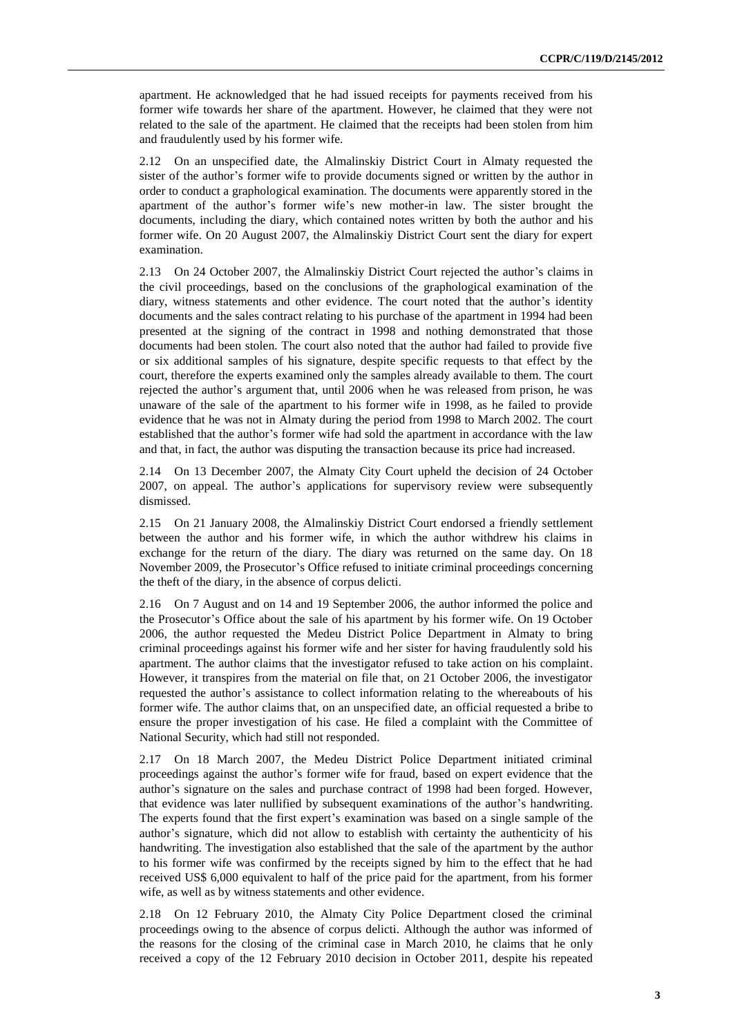apartment. He acknowledged that he had issued receipts for payments received from his former wife towards her share of the apartment. However, he claimed that they were not related to the sale of the apartment. He claimed that the receipts had been stolen from him and fraudulently used by his former wife.

2.12 On an unspecified date, the Almalinskiy District Court in Almaty requested the sister of the author's former wife to provide documents signed or written by the author in order to conduct a graphological examination. The documents were apparently stored in the apartment of the author's former wife's new mother-in law. The sister brought the documents, including the diary, which contained notes written by both the author and his former wife. On 20 August 2007, the Almalinskiy District Court sent the diary for expert examination.

2.13 On 24 October 2007, the Almalinskiy District Court rejected the author's claims in the civil proceedings, based on the conclusions of the graphological examination of the diary, witness statements and other evidence. The court noted that the author's identity documents and the sales contract relating to his purchase of the apartment in 1994 had been presented at the signing of the contract in 1998 and nothing demonstrated that those documents had been stolen. The court also noted that the author had failed to provide five or six additional samples of his signature, despite specific requests to that effect by the court, therefore the experts examined only the samples already available to them. The court rejected the author's argument that, until 2006 when he was released from prison, he was unaware of the sale of the apartment to his former wife in 1998, as he failed to provide evidence that he was not in Almaty during the period from 1998 to March 2002. The court established that the author's former wife had sold the apartment in accordance with the law and that, in fact, the author was disputing the transaction because its price had increased.

2.14 On 13 December 2007, the Almaty City Court upheld the decision of 24 October 2007, on appeal. The author's applications for supervisory review were subsequently dismissed.

2.15 On 21 January 2008, the Almalinskiy District Court endorsed a friendly settlement between the author and his former wife, in which the author withdrew his claims in exchange for the return of the diary. The diary was returned on the same day. On 18 November 2009, the Prosecutor's Office refused to initiate criminal proceedings concerning the theft of the diary, in the absence of corpus delicti.

2.16 On 7 August and on 14 and 19 September 2006, the author informed the police and the Prosecutor's Office about the sale of his apartment by his former wife. On 19 October 2006, the author requested the Medeu District Police Department in Almaty to bring criminal proceedings against his former wife and her sister for having fraudulently sold his apartment. The author claims that the investigator refused to take action on his complaint. However, it transpires from the material on file that, on 21 October 2006, the investigator requested the author's assistance to collect information relating to the whereabouts of his former wife. The author claims that, on an unspecified date, an official requested a bribe to ensure the proper investigation of his case. He filed a complaint with the Committee of National Security, which had still not responded.

2.17 On 18 March 2007, the Medeu District Police Department initiated criminal proceedings against the author's former wife for fraud, based on expert evidence that the author's signature on the sales and purchase contract of 1998 had been forged. However, that evidence was later nullified by subsequent examinations of the author's handwriting. The experts found that the first expert's examination was based on a single sample of the author's signature, which did not allow to establish with certainty the authenticity of his handwriting. The investigation also established that the sale of the apartment by the author to his former wife was confirmed by the receipts signed by him to the effect that he had received US\$ 6,000 equivalent to half of the price paid for the apartment, from his former wife, as well as by witness statements and other evidence.

2.18 On 12 February 2010, the Almaty City Police Department closed the criminal proceedings owing to the absence of corpus delicti. Although the author was informed of the reasons for the closing of the criminal case in March 2010, he claims that he only received a copy of the 12 February 2010 decision in October 2011, despite his repeated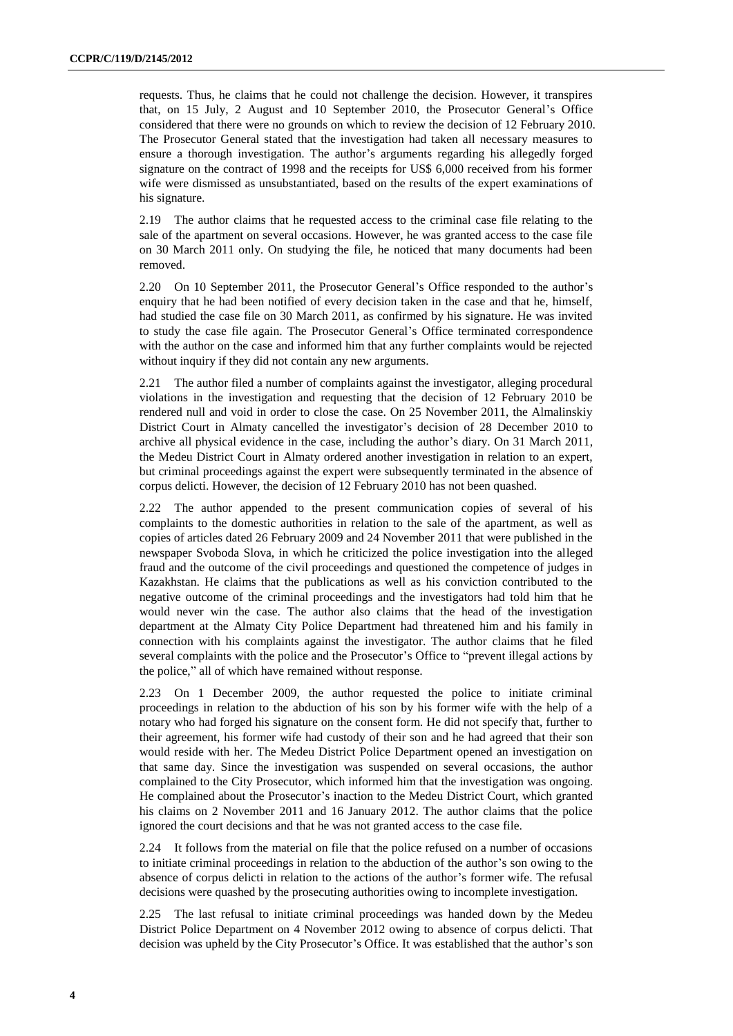requests. Thus, he claims that he could not challenge the decision. However, it transpires that, on 15 July, 2 August and 10 September 2010, the Prosecutor General's Office considered that there were no grounds on which to review the decision of 12 February 2010. The Prosecutor General stated that the investigation had taken all necessary measures to ensure a thorough investigation. The author's arguments regarding his allegedly forged signature on the contract of 1998 and the receipts for US\$ 6,000 received from his former wife were dismissed as unsubstantiated, based on the results of the expert examinations of his signature.

2.19 The author claims that he requested access to the criminal case file relating to the sale of the apartment on several occasions. However, he was granted access to the case file on 30 March 2011 only. On studying the file, he noticed that many documents had been removed.

2.20 On 10 September 2011, the Prosecutor General's Office responded to the author's enquiry that he had been notified of every decision taken in the case and that he, himself, had studied the case file on 30 March 2011, as confirmed by his signature. He was invited to study the case file again. The Prosecutor General's Office terminated correspondence with the author on the case and informed him that any further complaints would be rejected without inquiry if they did not contain any new arguments.

2.21 The author filed a number of complaints against the investigator, alleging procedural violations in the investigation and requesting that the decision of 12 February 2010 be rendered null and void in order to close the case. On 25 November 2011, the Almalinskiy District Court in Almaty cancelled the investigator's decision of 28 December 2010 to archive all physical evidence in the case, including the author's diary. On 31 March 2011, the Medeu District Court in Almaty ordered another investigation in relation to an expert, but criminal proceedings against the expert were subsequently terminated in the absence of corpus delicti. However, the decision of 12 February 2010 has not been quashed.

2.22 The author appended to the present communication copies of several of his complaints to the domestic authorities in relation to the sale of the apartment, as well as copies of articles dated 26 February 2009 and 24 November 2011 that were published in the newspaper Svoboda Slova, in which he criticized the police investigation into the alleged fraud and the outcome of the civil proceedings and questioned the competence of judges in Kazakhstan. He claims that the publications as well as his conviction contributed to the negative outcome of the criminal proceedings and the investigators had told him that he would never win the case. The author also claims that the head of the investigation department at the Almaty City Police Department had threatened him and his family in connection with his complaints against the investigator. The author claims that he filed several complaints with the police and the Prosecutor's Office to "prevent illegal actions by the police," all of which have remained without response.

2.23 On 1 December 2009, the author requested the police to initiate criminal proceedings in relation to the abduction of his son by his former wife with the help of a notary who had forged his signature on the consent form. He did not specify that, further to their agreement, his former wife had custody of their son and he had agreed that their son would reside with her. The Medeu District Police Department opened an investigation on that same day. Since the investigation was suspended on several occasions, the author complained to the City Prosecutor, which informed him that the investigation was ongoing. He complained about the Prosecutor's inaction to the Medeu District Court, which granted his claims on 2 November 2011 and 16 January 2012. The author claims that the police ignored the court decisions and that he was not granted access to the case file.

2.24 It follows from the material on file that the police refused on a number of occasions to initiate criminal proceedings in relation to the abduction of the author's son owing to the absence of corpus delicti in relation to the actions of the author's former wife. The refusal decisions were quashed by the prosecuting authorities owing to incomplete investigation.

2.25 The last refusal to initiate criminal proceedings was handed down by the Medeu District Police Department on 4 November 2012 owing to absence of corpus delicti. That decision was upheld by the City Prosecutor's Office. It was established that the author's son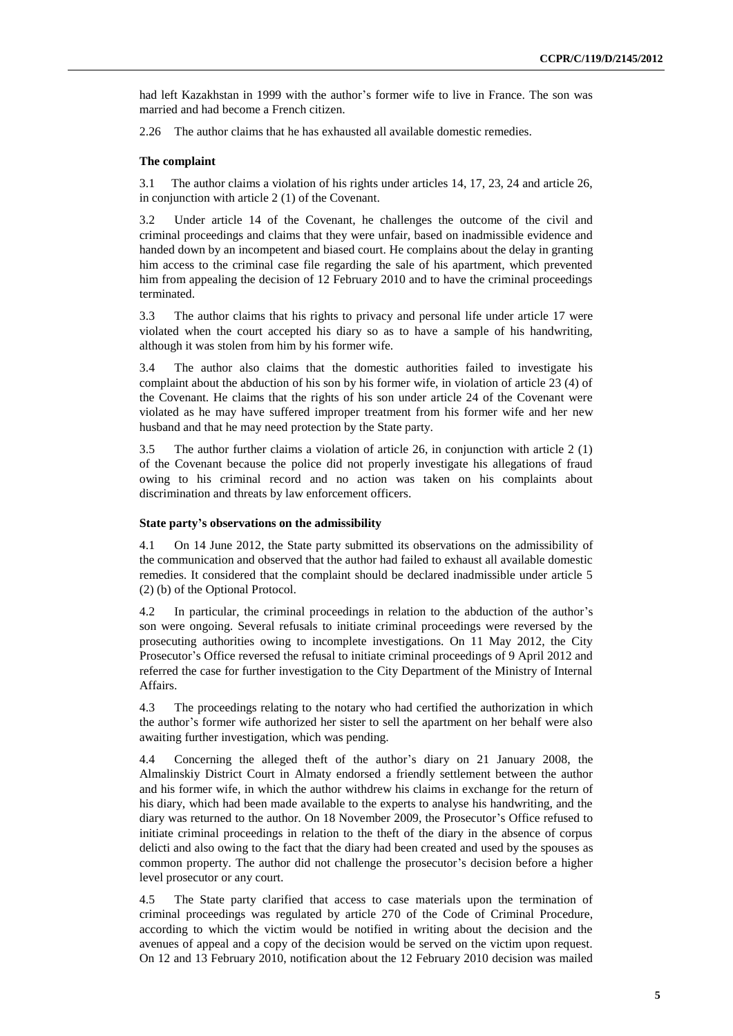had left Kazakhstan in 1999 with the author's former wife to live in France. The son was married and had become a French citizen.

2.26 The author claims that he has exhausted all available domestic remedies.

### **The complaint**

3.1 The author claims a violation of his rights under articles 14, 17, 23, 24 and article 26, in conjunction with article 2 (1) of the Covenant.

3.2 Under article 14 of the Covenant, he challenges the outcome of the civil and criminal proceedings and claims that they were unfair, based on inadmissible evidence and handed down by an incompetent and biased court. He complains about the delay in granting him access to the criminal case file regarding the sale of his apartment, which prevented him from appealing the decision of 12 February 2010 and to have the criminal proceedings terminated.

3.3 The author claims that his rights to privacy and personal life under article 17 were violated when the court accepted his diary so as to have a sample of his handwriting, although it was stolen from him by his former wife.

3.4 The author also claims that the domestic authorities failed to investigate his complaint about the abduction of his son by his former wife, in violation of article 23 (4) of the Covenant. He claims that the rights of his son under article 24 of the Covenant were violated as he may have suffered improper treatment from his former wife and her new husband and that he may need protection by the State party.

3.5 The author further claims a violation of article 26, in conjunction with article 2 (1) of the Covenant because the police did not properly investigate his allegations of fraud owing to his criminal record and no action was taken on his complaints about discrimination and threats by law enforcement officers.

### **State party's observations on the admissibility**

4.1 On 14 June 2012, the State party submitted its observations on the admissibility of the communication and observed that the author had failed to exhaust all available domestic remedies. It considered that the complaint should be declared inadmissible under article 5 (2) (b) of the Optional Protocol.

4.2 In particular, the criminal proceedings in relation to the abduction of the author's son were ongoing. Several refusals to initiate criminal proceedings were reversed by the prosecuting authorities owing to incomplete investigations. On 11 May 2012, the City Prosecutor's Office reversed the refusal to initiate criminal proceedings of 9 April 2012 and referred the case for further investigation to the City Department of the Ministry of Internal Affairs.

4.3 The proceedings relating to the notary who had certified the authorization in which the author's former wife authorized her sister to sell the apartment on her behalf were also awaiting further investigation, which was pending.

4.4 Concerning the alleged theft of the author's diary on 21 January 2008, the Almalinskiy District Court in Almaty endorsed a friendly settlement between the author and his former wife, in which the author withdrew his claims in exchange for the return of his diary, which had been made available to the experts to analyse his handwriting, and the diary was returned to the author. On 18 November 2009, the Prosecutor's Office refused to initiate criminal proceedings in relation to the theft of the diary in the absence of corpus delicti and also owing to the fact that the diary had been created and used by the spouses as common property. The author did not challenge the prosecutor's decision before a higher level prosecutor or any court.

4.5 The State party clarified that access to case materials upon the termination of criminal proceedings was regulated by article 270 of the Code of Criminal Procedure, according to which the victim would be notified in writing about the decision and the avenues of appeal and a copy of the decision would be served on the victim upon request. On 12 and 13 February 2010, notification about the 12 February 2010 decision was mailed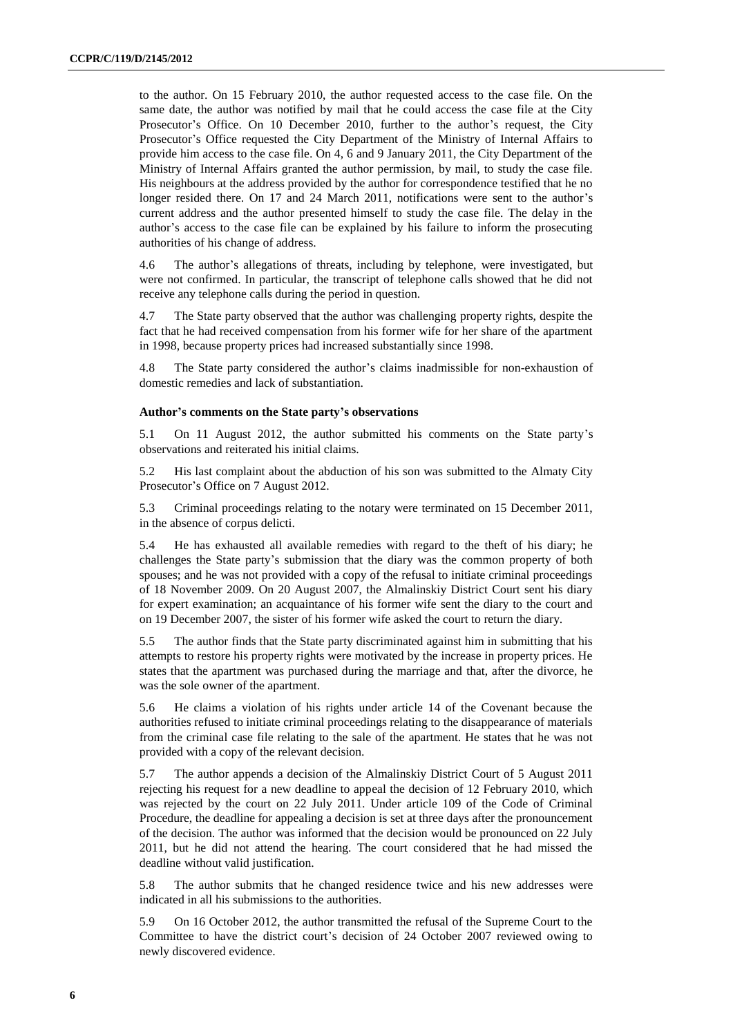to the author. On 15 February 2010, the author requested access to the case file. On the same date, the author was notified by mail that he could access the case file at the City Prosecutor's Office. On 10 December 2010, further to the author's request, the City Prosecutor's Office requested the City Department of the Ministry of Internal Affairs to provide him access to the case file. On 4, 6 and 9 January 2011, the City Department of the Ministry of Internal Affairs granted the author permission, by mail, to study the case file. His neighbours at the address provided by the author for correspondence testified that he no longer resided there. On 17 and 24 March 2011, notifications were sent to the author's current address and the author presented himself to study the case file. The delay in the author's access to the case file can be explained by his failure to inform the prosecuting authorities of his change of address.

4.6 The author's allegations of threats, including by telephone, were investigated, but were not confirmed. In particular, the transcript of telephone calls showed that he did not receive any telephone calls during the period in question.

4.7 The State party observed that the author was challenging property rights, despite the fact that he had received compensation from his former wife for her share of the apartment in 1998, because property prices had increased substantially since 1998.

4.8 The State party considered the author's claims inadmissible for non-exhaustion of domestic remedies and lack of substantiation.

# **Author's comments on the State party's observations**

5.1 On 11 August 2012, the author submitted his comments on the State party's observations and reiterated his initial claims.

5.2 His last complaint about the abduction of his son was submitted to the Almaty City Prosecutor's Office on 7 August 2012.

5.3 Criminal proceedings relating to the notary were terminated on 15 December 2011, in the absence of corpus delicti.

5.4 He has exhausted all available remedies with regard to the theft of his diary; he challenges the State party's submission that the diary was the common property of both spouses; and he was not provided with a copy of the refusal to initiate criminal proceedings of 18 November 2009. On 20 August 2007, the Almalinskiy District Court sent his diary for expert examination; an acquaintance of his former wife sent the diary to the court and on 19 December 2007, the sister of his former wife asked the court to return the diary.

5.5 The author finds that the State party discriminated against him in submitting that his attempts to restore his property rights were motivated by the increase in property prices. He states that the apartment was purchased during the marriage and that, after the divorce, he was the sole owner of the apartment.

5.6 He claims a violation of his rights under article 14 of the Covenant because the authorities refused to initiate criminal proceedings relating to the disappearance of materials from the criminal case file relating to the sale of the apartment. He states that he was not provided with a copy of the relevant decision.

5.7 The author appends a decision of the Almalinskiy District Court of 5 August 2011 rejecting his request for a new deadline to appeal the decision of 12 February 2010, which was rejected by the court on 22 July 2011. Under article 109 of the Code of Criminal Procedure, the deadline for appealing a decision is set at three days after the pronouncement of the decision. The author was informed that the decision would be pronounced on 22 July 2011, but he did not attend the hearing. The court considered that he had missed the deadline without valid justification.

5.8 The author submits that he changed residence twice and his new addresses were indicated in all his submissions to the authorities.

5.9 On 16 October 2012, the author transmitted the refusal of the Supreme Court to the Committee to have the district court's decision of 24 October 2007 reviewed owing to newly discovered evidence.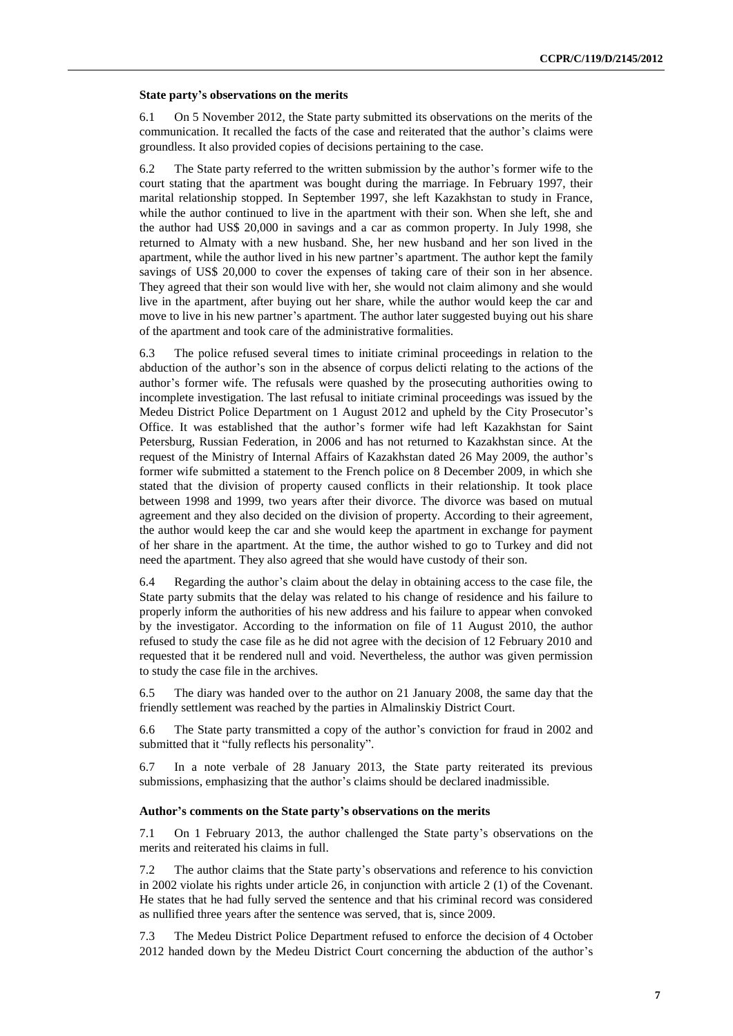#### **State party's observations on the merits**

6.1 On 5 November 2012, the State party submitted its observations on the merits of the communication. It recalled the facts of the case and reiterated that the author's claims were groundless. It also provided copies of decisions pertaining to the case.

6.2 The State party referred to the written submission by the author's former wife to the court stating that the apartment was bought during the marriage. In February 1997, their marital relationship stopped. In September 1997, she left Kazakhstan to study in France, while the author continued to live in the apartment with their son. When she left, she and the author had US\$ 20,000 in savings and a car as common property. In July 1998, she returned to Almaty with a new husband. She, her new husband and her son lived in the apartment, while the author lived in his new partner's apartment. The author kept the family savings of US\$ 20,000 to cover the expenses of taking care of their son in her absence. They agreed that their son would live with her, she would not claim alimony and she would live in the apartment, after buying out her share, while the author would keep the car and move to live in his new partner's apartment. The author later suggested buying out his share of the apartment and took care of the administrative formalities.

6.3 The police refused several times to initiate criminal proceedings in relation to the abduction of the author's son in the absence of corpus delicti relating to the actions of the author's former wife. The refusals were quashed by the prosecuting authorities owing to incomplete investigation. The last refusal to initiate criminal proceedings was issued by the Medeu District Police Department on 1 August 2012 and upheld by the City Prosecutor's Office. It was established that the author's former wife had left Kazakhstan for Saint Petersburg, Russian Federation, in 2006 and has not returned to Kazakhstan since. At the request of the Ministry of Internal Affairs of Kazakhstan dated 26 May 2009, the author's former wife submitted a statement to the French police on 8 December 2009, in which she stated that the division of property caused conflicts in their relationship. It took place between 1998 and 1999, two years after their divorce. The divorce was based on mutual agreement and they also decided on the division of property. According to their agreement, the author would keep the car and she would keep the apartment in exchange for payment of her share in the apartment. At the time, the author wished to go to Turkey and did not need the apartment. They also agreed that she would have custody of their son.

6.4 Regarding the author's claim about the delay in obtaining access to the case file, the State party submits that the delay was related to his change of residence and his failure to properly inform the authorities of his new address and his failure to appear when convoked by the investigator. According to the information on file of 11 August 2010, the author refused to study the case file as he did not agree with the decision of 12 February 2010 and requested that it be rendered null and void. Nevertheless, the author was given permission to study the case file in the archives.

6.5 The diary was handed over to the author on 21 January 2008, the same day that the friendly settlement was reached by the parties in Almalinskiy District Court.

6.6 The State party transmitted a copy of the author's conviction for fraud in 2002 and submitted that it "fully reflects his personality".

6.7 In a note verbale of 28 January 2013, the State party reiterated its previous submissions, emphasizing that the author's claims should be declared inadmissible.

#### **Author's comments on the State party's observations on the merits**

7.1 On 1 February 2013, the author challenged the State party's observations on the merits and reiterated his claims in full.

7.2 The author claims that the State party's observations and reference to his conviction in 2002 violate his rights under article 26, in conjunction with article 2 (1) of the Covenant. He states that he had fully served the sentence and that his criminal record was considered as nullified three years after the sentence was served, that is, since 2009.

7.3 The Medeu District Police Department refused to enforce the decision of 4 October 2012 handed down by the Medeu District Court concerning the abduction of the author's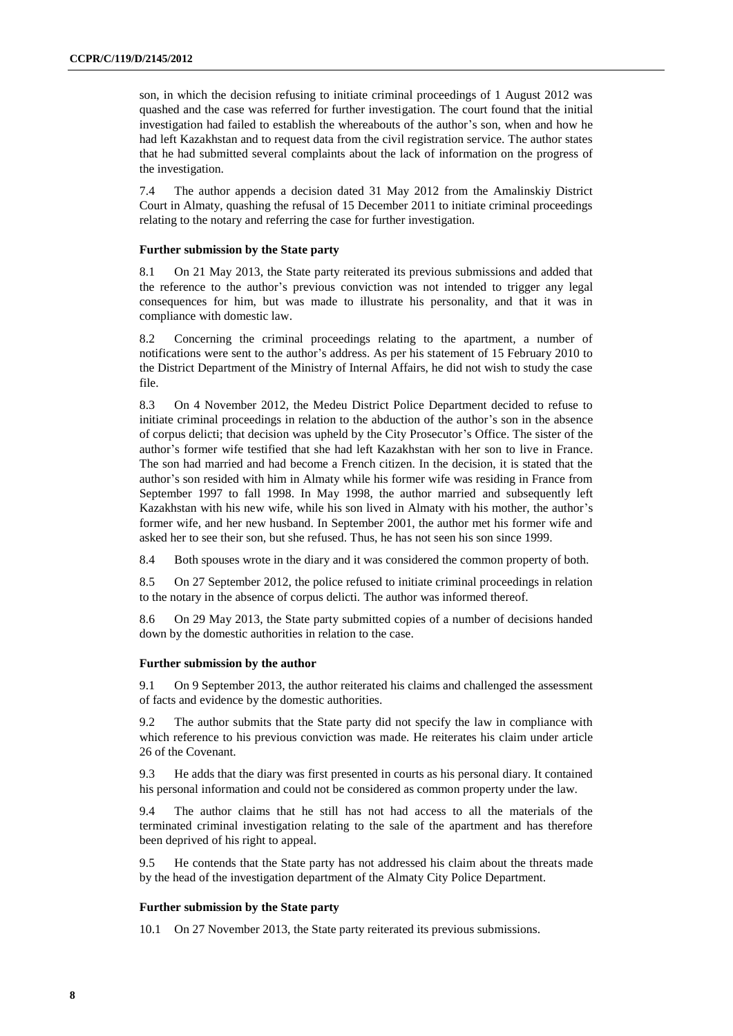son, in which the decision refusing to initiate criminal proceedings of 1 August 2012 was quashed and the case was referred for further investigation. The court found that the initial investigation had failed to establish the whereabouts of the author's son, when and how he had left Kazakhstan and to request data from the civil registration service. The author states that he had submitted several complaints about the lack of information on the progress of the investigation.

7.4 The author appends a decision dated 31 May 2012 from the Amalinskiy District Court in Almaty, quashing the refusal of 15 December 2011 to initiate criminal proceedings relating to the notary and referring the case for further investigation.

# **Further submission by the State party**

8.1 On 21 May 2013, the State party reiterated its previous submissions and added that the reference to the author's previous conviction was not intended to trigger any legal consequences for him, but was made to illustrate his personality, and that it was in compliance with domestic law.

8.2 Concerning the criminal proceedings relating to the apartment, a number of notifications were sent to the author's address. As per his statement of 15 February 2010 to the District Department of the Ministry of Internal Affairs, he did not wish to study the case file.

8.3 On 4 November 2012, the Medeu District Police Department decided to refuse to initiate criminal proceedings in relation to the abduction of the author's son in the absence of corpus delicti; that decision was upheld by the City Prosecutor's Office. The sister of the author's former wife testified that she had left Kazakhstan with her son to live in France. The son had married and had become a French citizen. In the decision, it is stated that the author's son resided with him in Almaty while his former wife was residing in France from September 1997 to fall 1998. In May 1998, the author married and subsequently left Kazakhstan with his new wife, while his son lived in Almaty with his mother, the author's former wife, and her new husband. In September 2001, the author met his former wife and asked her to see their son, but she refused. Thus, he has not seen his son since 1999.

8.4 Both spouses wrote in the diary and it was considered the common property of both.

8.5 On 27 September 2012, the police refused to initiate criminal proceedings in relation to the notary in the absence of corpus delicti. The author was informed thereof.

8.6 On 29 May 2013, the State party submitted copies of a number of decisions handed down by the domestic authorities in relation to the case.

#### **Further submission by the author**

9.1 On 9 September 2013, the author reiterated his claims and challenged the assessment of facts and evidence by the domestic authorities.

9.2 The author submits that the State party did not specify the law in compliance with which reference to his previous conviction was made. He reiterates his claim under article 26 of the Covenant.

9.3 He adds that the diary was first presented in courts as his personal diary. It contained his personal information and could not be considered as common property under the law.

9.4 The author claims that he still has not had access to all the materials of the terminated criminal investigation relating to the sale of the apartment and has therefore been deprived of his right to appeal.

9.5 He contends that the State party has not addressed his claim about the threats made by the head of the investigation department of the Almaty City Police Department.

#### **Further submission by the State party**

10.1 On 27 November 2013, the State party reiterated its previous submissions.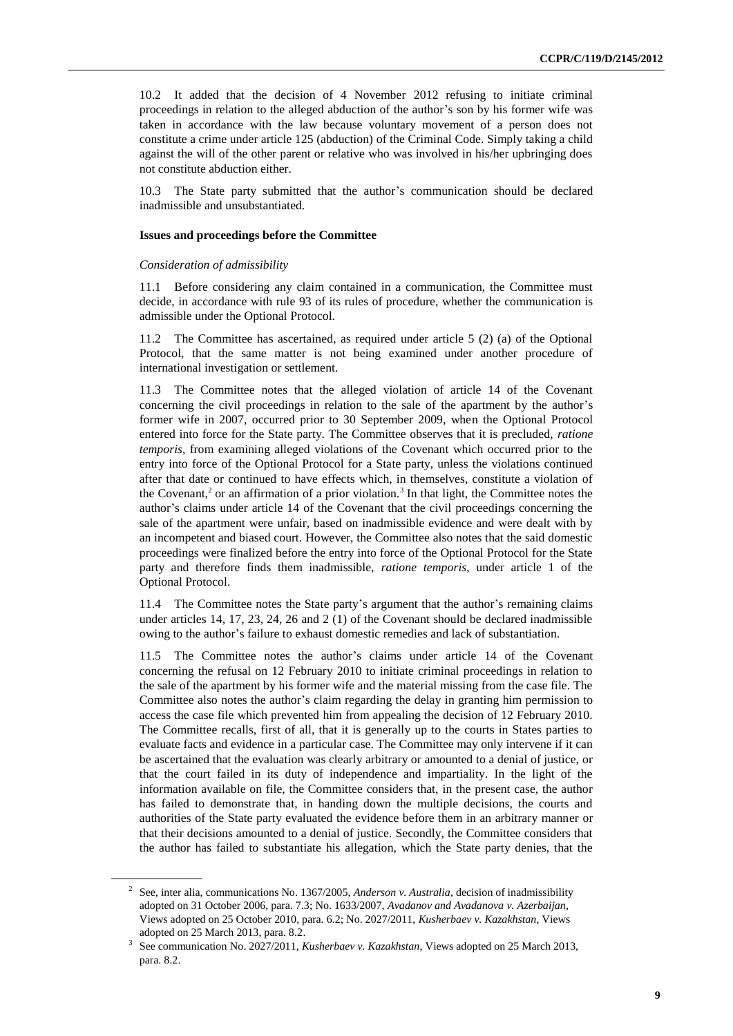10.2 It added that the decision of 4 November 2012 refusing to initiate criminal proceedings in relation to the alleged abduction of the author's son by his former wife was taken in accordance with the law because voluntary movement of a person does not constitute a crime under article 125 (abduction) of the Criminal Code. Simply taking a child against the will of the other parent or relative who was involved in his/her upbringing does not constitute abduction either.

10.3 The State party submitted that the author's communication should be declared inadmissible and unsubstantiated.

# **Issues and proceedings before the Committee**

#### *Consideration of admissibility*

11.1 Before considering any claim contained in a communication, the Committee must decide, in accordance with rule 93 of its rules of procedure, whether the communication is admissible under the Optional Protocol.

11.2 The Committee has ascertained, as required under article 5 (2) (a) of the Optional Protocol, that the same matter is not being examined under another procedure of international investigation or settlement.

11.3 The Committee notes that the alleged violation of article 14 of the Covenant concerning the civil proceedings in relation to the sale of the apartment by the author's former wife in 2007, occurred prior to 30 September 2009, when the Optional Protocol entered into force for the State party. The Committee observes that it is precluded, *ratione temporis*, from examining alleged violations of the Covenant which occurred prior to the entry into force of the Optional Protocol for a State party, unless the violations continued after that date or continued to have effects which, in themselves, constitute a violation of the Covenant,<sup>2</sup> or an affirmation of a prior violation.<sup>3</sup> In that light, the Committee notes the author's claims under article 14 of the Covenant that the civil proceedings concerning the sale of the apartment were unfair, based on inadmissible evidence and were dealt with by an incompetent and biased court. However, the Committee also notes that the said domestic proceedings were finalized before the entry into force of the Optional Protocol for the State party and therefore finds them inadmissible, *ratione temporis*, under article 1 of the Optional Protocol.

The Committee notes the State party's argument that the author's remaining claims under articles 14, 17, 23, 24, 26 and 2 (1) of the Covenant should be declared inadmissible owing to the author's failure to exhaust domestic remedies and lack of substantiation.

11.5 The Committee notes the author's claims under article 14 of the Covenant concerning the refusal on 12 February 2010 to initiate criminal proceedings in relation to the sale of the apartment by his former wife and the material missing from the case file. The Committee also notes the author's claim regarding the delay in granting him permission to access the case file which prevented him from appealing the decision of 12 February 2010. The Committee recalls, first of all, that it is generally up to the courts in States parties to evaluate facts and evidence in a particular case. The Committee may only intervene if it can be ascertained that the evaluation was clearly arbitrary or amounted to a denial of justice, or that the court failed in its duty of independence and impartiality. In the light of the information available on file, the Committee considers that, in the present case, the author has failed to demonstrate that, in handing down the multiple decisions, the courts and authorities of the State party evaluated the evidence before them in an arbitrary manner or that their decisions amounted to a denial of justice. Secondly, the Committee considers that the author has failed to substantiate his allegation, which the State party denies, that the

<sup>2</sup> See, inter alia, communications No. 1367/2005, *Anderson v. Australia*, decision of inadmissibility adopted on 31 October 2006, para. 7.3; No. 1633/2007, *Avadanov and Avadanova v. Azerbaijan*, Views adopted on 25 October 2010, para. 6.2; No. 2027/2011, *Kusherbaev v. Kazakhstan*, Views adopted on 25 March 2013, para. 8.2.

<sup>3</sup> See communication No. 2027/2011, *Kusherbaev v. Kazakhstan*, Views adopted on 25 March 2013, para. 8.2.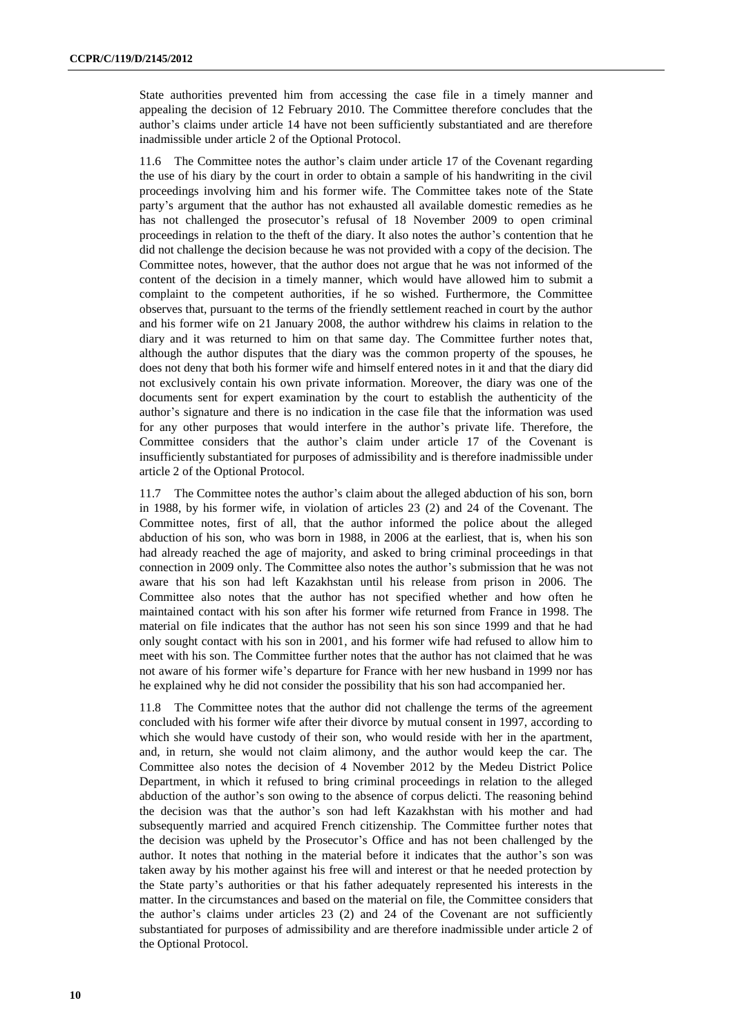State authorities prevented him from accessing the case file in a timely manner and appealing the decision of 12 February 2010. The Committee therefore concludes that the author's claims under article 14 have not been sufficiently substantiated and are therefore inadmissible under article 2 of the Optional Protocol.

11.6 The Committee notes the author's claim under article 17 of the Covenant regarding the use of his diary by the court in order to obtain a sample of his handwriting in the civil proceedings involving him and his former wife. The Committee takes note of the State party's argument that the author has not exhausted all available domestic remedies as he has not challenged the prosecutor's refusal of 18 November 2009 to open criminal proceedings in relation to the theft of the diary. It also notes the author's contention that he did not challenge the decision because he was not provided with a copy of the decision. The Committee notes, however, that the author does not argue that he was not informed of the content of the decision in a timely manner, which would have allowed him to submit a complaint to the competent authorities, if he so wished. Furthermore, the Committee observes that, pursuant to the terms of the friendly settlement reached in court by the author and his former wife on 21 January 2008, the author withdrew his claims in relation to the diary and it was returned to him on that same day. The Committee further notes that, although the author disputes that the diary was the common property of the spouses, he does not deny that both his former wife and himself entered notes in it and that the diary did not exclusively contain his own private information. Moreover, the diary was one of the documents sent for expert examination by the court to establish the authenticity of the author's signature and there is no indication in the case file that the information was used for any other purposes that would interfere in the author's private life. Therefore, the Committee considers that the author's claim under article 17 of the Covenant is insufficiently substantiated for purposes of admissibility and is therefore inadmissible under article 2 of the Optional Protocol.

11.7 The Committee notes the author's claim about the alleged abduction of his son, born in 1988, by his former wife, in violation of articles 23 (2) and 24 of the Covenant. The Committee notes, first of all, that the author informed the police about the alleged abduction of his son, who was born in 1988, in 2006 at the earliest, that is, when his son had already reached the age of majority, and asked to bring criminal proceedings in that connection in 2009 only. The Committee also notes the author's submission that he was not aware that his son had left Kazakhstan until his release from prison in 2006. The Committee also notes that the author has not specified whether and how often he maintained contact with his son after his former wife returned from France in 1998. The material on file indicates that the author has not seen his son since 1999 and that he had only sought contact with his son in 2001, and his former wife had refused to allow him to meet with his son. The Committee further notes that the author has not claimed that he was not aware of his former wife's departure for France with her new husband in 1999 nor has he explained why he did not consider the possibility that his son had accompanied her.

11.8 The Committee notes that the author did not challenge the terms of the agreement concluded with his former wife after their divorce by mutual consent in 1997, according to which she would have custody of their son, who would reside with her in the apartment, and, in return, she would not claim alimony, and the author would keep the car. The Committee also notes the decision of 4 November 2012 by the Medeu District Police Department, in which it refused to bring criminal proceedings in relation to the alleged abduction of the author's son owing to the absence of corpus delicti. The reasoning behind the decision was that the author's son had left Kazakhstan with his mother and had subsequently married and acquired French citizenship. The Committee further notes that the decision was upheld by the Prosecutor's Office and has not been challenged by the author. It notes that nothing in the material before it indicates that the author's son was taken away by his mother against his free will and interest or that he needed protection by the State party's authorities or that his father adequately represented his interests in the matter. In the circumstances and based on the material on file, the Committee considers that the author's claims under articles 23 (2) and 24 of the Covenant are not sufficiently substantiated for purposes of admissibility and are therefore inadmissible under article 2 of the Optional Protocol.